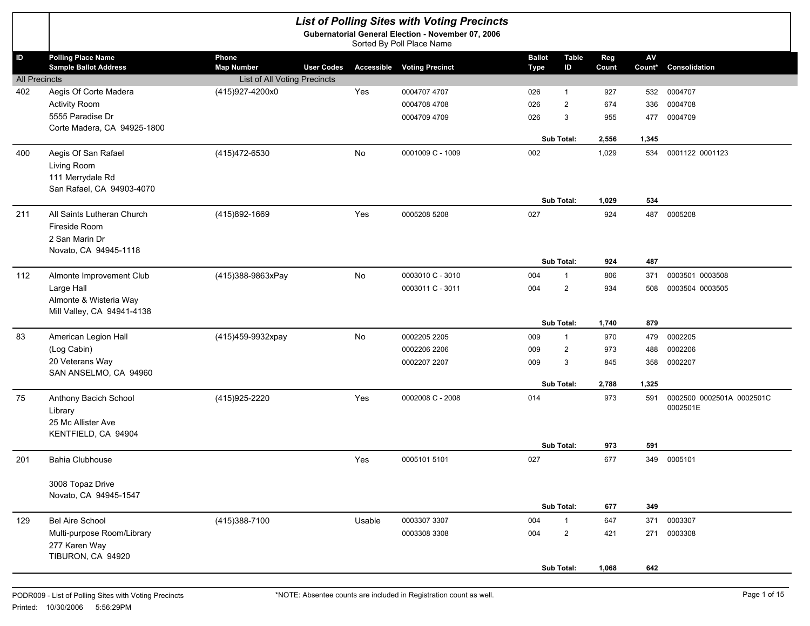|                      |                                                           |                              |                   | <b>List of Polling Sites with Voting Precincts</b>                              |                              |                         |              |                                  |                                       |
|----------------------|-----------------------------------------------------------|------------------------------|-------------------|---------------------------------------------------------------------------------|------------------------------|-------------------------|--------------|----------------------------------|---------------------------------------|
|                      |                                                           |                              |                   | Gubernatorial General Election - November 07, 2006<br>Sorted By Poll Place Name |                              |                         |              |                                  |                                       |
| ID                   | <b>Polling Place Name</b><br><b>Sample Ballot Address</b> | Phone<br><b>Map Number</b>   | <b>User Codes</b> | <b>Accessible Voting Precinct</b>                                               | <b>Ballot</b><br><b>Type</b> | <b>Table</b><br>ID      | Reg<br>Count | $\mathsf{A}\mathsf{V}$<br>Count* | Consolidation                         |
| <b>All Precincts</b> |                                                           | List of All Voting Precincts |                   |                                                                                 |                              |                         |              |                                  |                                       |
| 402                  | Aegis Of Corte Madera                                     | (415)927-4200x0              | Yes               | 0004707 4707                                                                    | 026                          | 1                       | 927          | 532                              | 0004707                               |
|                      | <b>Activity Room</b>                                      |                              |                   | 0004708 4708                                                                    | 026                          | $\overline{2}$          | 674          | 336                              | 0004708                               |
|                      | 5555 Paradise Dr                                          |                              |                   | 0004709 4709                                                                    | 026                          | 3                       | 955          | 477                              | 0004709                               |
|                      | Corte Madera, CA 94925-1800                               |                              |                   |                                                                                 |                              | <b>Sub Total:</b>       | 2,556        | 1,345                            |                                       |
| 400                  | Aegis Of San Rafael                                       | (415)472-6530                | No                | 0001009 C - 1009                                                                | 002                          |                         | 1,029        | 534                              | 0001122 0001123                       |
|                      | Living Room                                               |                              |                   |                                                                                 |                              |                         |              |                                  |                                       |
|                      | 111 Merrydale Rd<br>San Rafael, CA 94903-4070             |                              |                   |                                                                                 |                              |                         |              |                                  |                                       |
|                      |                                                           |                              |                   |                                                                                 |                              | <b>Sub Total:</b>       | 1,029        | 534                              |                                       |
| 211                  | All Saints Lutheran Church                                | (415)892-1669                | Yes               | 0005208 5208                                                                    | 027                          |                         | 924          | 487                              | 0005208                               |
|                      | Fireside Room                                             |                              |                   |                                                                                 |                              |                         |              |                                  |                                       |
|                      | 2 San Marin Dr<br>Novato, CA 94945-1118                   |                              |                   |                                                                                 |                              |                         |              |                                  |                                       |
|                      |                                                           |                              |                   |                                                                                 |                              | Sub Total:              | 924          | 487                              |                                       |
| 112                  | Almonte Improvement Club                                  | (415)388-9863xPay            | No                | 0003010 C - 3010                                                                | 004                          | $\mathbf{1}$            | 806          | 371                              | 0003501 0003508                       |
|                      | Large Hall                                                |                              |                   | 0003011 C - 3011                                                                | 004                          | $\overline{2}$          | 934          | 508                              | 0003504 0003505                       |
|                      | Almonte & Wisteria Way                                    |                              |                   |                                                                                 |                              |                         |              |                                  |                                       |
|                      | Mill Valley, CA 94941-4138                                |                              |                   |                                                                                 |                              | Sub Total:              | 1,740        | 879                              |                                       |
| 83                   | American Legion Hall                                      | (415)459-9932xpay            | No                | 0002205 2205                                                                    | 009                          | 1                       | 970          | 479                              | 0002205                               |
|                      | (Log Cabin)                                               |                              |                   | 0002206 2206                                                                    | 009                          | $\overline{2}$          | 973          | 488                              | 0002206                               |
|                      | 20 Veterans Way                                           |                              |                   | 0002207 2207                                                                    | 009                          | 3                       | 845          | 358                              | 0002207                               |
|                      | SAN ANSELMO, CA 94960                                     |                              |                   |                                                                                 |                              |                         |              |                                  |                                       |
|                      |                                                           |                              |                   |                                                                                 |                              | <b>Sub Total:</b>       | 2,788        | 1,325                            |                                       |
| 75                   | Anthony Bacich School                                     | (415) 925-2220               | Yes               | 0002008 C - 2008                                                                | 014                          |                         | 973          | 591                              | 0002500 0002501A 0002501C<br>0002501E |
|                      | Library                                                   |                              |                   |                                                                                 |                              |                         |              |                                  |                                       |
|                      | 25 Mc Allister Ave<br>KENTFIELD, CA 94904                 |                              |                   |                                                                                 |                              |                         |              |                                  |                                       |
|                      |                                                           |                              |                   |                                                                                 |                              | <b>Sub Total:</b>       | 973          | 591                              |                                       |
| 201                  | <b>Bahia Clubhouse</b>                                    |                              | Yes               | 0005101 5101                                                                    | 027                          |                         | 677          |                                  | 349 0005101                           |
|                      | 3008 Topaz Drive                                          |                              |                   |                                                                                 |                              |                         |              |                                  |                                       |
|                      | Novato, CA 94945-1547                                     |                              |                   |                                                                                 |                              |                         |              |                                  |                                       |
| 129                  | <b>Bel Aire School</b>                                    | (415)388-7100                | Usable            | 0003307 3307                                                                    | 004                          | Sub Total:<br>1         | 677<br>647   | 349<br>371                       | 0003307                               |
|                      | Multi-purpose Room/Library                                |                              |                   | 0003308 3308                                                                    | 004                          | $\overline{\mathbf{c}}$ | 421          | 271                              | 0003308                               |
|                      | 277 Karen Way                                             |                              |                   |                                                                                 |                              |                         |              |                                  |                                       |
|                      | TIBURON, CA 94920                                         |                              |                   |                                                                                 |                              |                         |              |                                  |                                       |
|                      |                                                           |                              |                   |                                                                                 |                              | Sub Total:              | 1,068        | 642                              |                                       |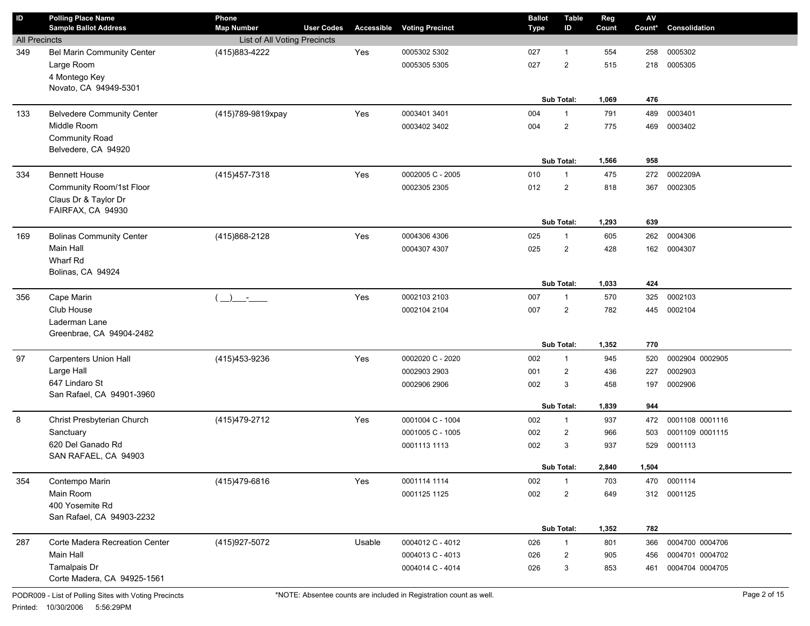| $\mathsf{ID}$        | <b>Polling Place Name</b><br><b>Sample Ballot Address</b> | Phone<br><b>Map Number</b>                | <b>User Codes</b> | <b>Accessible</b> | <b>Voting Precinct</b> | <b>Ballot</b><br><b>Type</b> | <b>Table</b><br>ID | Reg<br>Count | $\mathsf{AV}$<br>Count* | Consolidation   |
|----------------------|-----------------------------------------------------------|-------------------------------------------|-------------------|-------------------|------------------------|------------------------------|--------------------|--------------|-------------------------|-----------------|
| <b>All Precincts</b> |                                                           | List of All Voting Precincts              |                   |                   |                        |                              |                    |              |                         |                 |
| 349                  | Bel Marin Community Center                                | (415) 883-4222                            |                   | Yes               | 0005302 5302           | 027                          | $\mathbf{1}$       | 554          | 258                     | 0005302         |
|                      | Large Room                                                |                                           |                   |                   | 0005305 5305           | 027                          | 2                  | 515          | 218                     | 0005305         |
|                      | 4 Montego Key                                             |                                           |                   |                   |                        |                              |                    |              |                         |                 |
|                      | Novato, CA 94949-5301                                     |                                           |                   |                   |                        |                              |                    |              |                         |                 |
|                      |                                                           |                                           |                   |                   |                        |                              | Sub Total:         | 1,069        | 476                     |                 |
| 133                  | <b>Belvedere Community Center</b>                         | (415)789-9819xpay                         |                   | Yes               | 0003401 3401           | 004                          | $\mathbf{1}$       | 791          | 489                     | 0003401         |
|                      | Middle Room                                               |                                           |                   |                   | 0003402 3402           | 004                          | $\overline{2}$     | 775          | 469                     | 0003402         |
|                      | Community Road                                            |                                           |                   |                   |                        |                              |                    |              |                         |                 |
|                      | Belvedere, CA 94920                                       |                                           |                   |                   |                        |                              |                    |              |                         |                 |
|                      |                                                           |                                           |                   |                   |                        |                              | Sub Total:         | 1,566        | 958                     |                 |
| 334                  | <b>Bennett House</b>                                      | (415) 457-7318                            |                   | Yes               | 0002005 C - 2005       | 010                          | $\mathbf{1}$       | 475          | 272                     | 0002209A        |
|                      | Community Room/1st Floor<br>Claus Dr & Taylor Dr          |                                           |                   |                   | 0002305 2305           | 012                          | $\overline{2}$     | 818          | 367                     | 0002305         |
|                      | FAIRFAX, CA 94930                                         |                                           |                   |                   |                        |                              |                    |              |                         |                 |
|                      |                                                           |                                           |                   |                   |                        |                              | Sub Total:         | 1,293        | 639                     |                 |
| 169                  | <b>Bolinas Community Center</b>                           | (415)868-2128                             |                   | Yes               | 0004306 4306           | 025                          | $\mathbf{1}$       | 605          | 262                     | 0004306         |
|                      | Main Hall                                                 |                                           |                   |                   | 0004307 4307           | 025                          | 2                  | 428          | 162                     | 0004307         |
|                      | Wharf Rd                                                  |                                           |                   |                   |                        |                              |                    |              |                         |                 |
|                      | Bolinas, CA 94924                                         |                                           |                   |                   |                        |                              |                    |              |                         |                 |
|                      |                                                           |                                           |                   |                   |                        |                              | Sub Total:         | 1,033        | 424                     |                 |
| 356                  | Cape Marin                                                | $\rightarrow$<br>$\sim 1000$ km s $^{-1}$ |                   | Yes               | 0002103 2103           | 007                          | $\mathbf{1}$       | 570          | 325                     | 0002103         |
|                      | Club House                                                |                                           |                   |                   | 0002104 2104           | 007                          | 2                  | 782          | 445                     | 0002104         |
|                      | Laderman Lane                                             |                                           |                   |                   |                        |                              |                    |              |                         |                 |
|                      | Greenbrae, CA 94904-2482                                  |                                           |                   |                   |                        |                              | Sub Total:         | 1,352        | 770                     |                 |
| 97                   | <b>Carpenters Union Hall</b>                              | (415) 453-9236                            |                   | Yes               | 0002020 C - 2020       | 002                          | $\mathbf{1}$       | 945          | 520                     | 0002904 0002905 |
|                      | Large Hall                                                |                                           |                   |                   | 0002903 2903           | 001                          | $\overline{2}$     | 436          | 227                     | 0002903         |
|                      | 647 Lindaro St                                            |                                           |                   |                   | 0002906 2906           | 002                          | 3                  | 458          | 197                     | 0002906         |
|                      | San Rafael, CA 94901-3960                                 |                                           |                   |                   |                        |                              |                    |              |                         |                 |
|                      |                                                           |                                           |                   |                   |                        |                              | Sub Total:         | 1,839        | 944                     |                 |
| 8                    | Christ Presbyterian Church                                | (415) 479-2712                            |                   | Yes               | 0001004 C - 1004       | 002                          | $\mathbf{1}$       | 937          | 472                     | 0001108 0001116 |
|                      | Sanctuary                                                 |                                           |                   |                   | 0001005 C - 1005       | 002                          | $\overline{2}$     | 966          | 503                     | 0001109 0001115 |
|                      | 620 Del Ganado Rd                                         |                                           |                   |                   | 0001113 1113           | 002                          | 3                  | 937          | 529                     | 0001113         |
|                      | SAN RAFAEL, CA 94903                                      |                                           |                   |                   |                        |                              |                    |              |                         |                 |
|                      |                                                           |                                           |                   |                   |                        |                              | Sub Total:         | 2,840        | 1,504                   |                 |
| 354                  | Contempo Marin                                            | (415)479-6816                             |                   | Yes               | 0001114 1114           | 002                          | $\mathbf{1}$       | 703          | 470                     | 0001114         |
|                      | Main Room                                                 |                                           |                   |                   | 0001125 1125           | 002                          | $\overline{2}$     | 649          | 312                     | 0001125         |
|                      | 400 Yosemite Rd<br>San Rafael, CA 94903-2232              |                                           |                   |                   |                        |                              |                    |              |                         |                 |
|                      |                                                           |                                           |                   |                   |                        |                              | Sub Total:         | 1,352        | 782                     |                 |
| 287                  | Corte Madera Recreation Center                            | (415) 927-5072                            |                   | Usable            | 0004012 C - 4012       | 026                          | $\mathbf{1}$       | 801          | 366                     | 0004700 0004706 |
|                      | Main Hall                                                 |                                           |                   |                   | 0004013 C - 4013       | 026                          | $\overline{c}$     | 905          | 456                     | 0004701 0004702 |
|                      | Tamalpais Dr                                              |                                           |                   |                   | 0004014 C - 4014       | 026                          | 3                  | 853          | 461                     | 0004704 0004705 |
|                      | Corte Madera, CA 94925-1561                               |                                           |                   |                   |                        |                              |                    |              |                         |                 |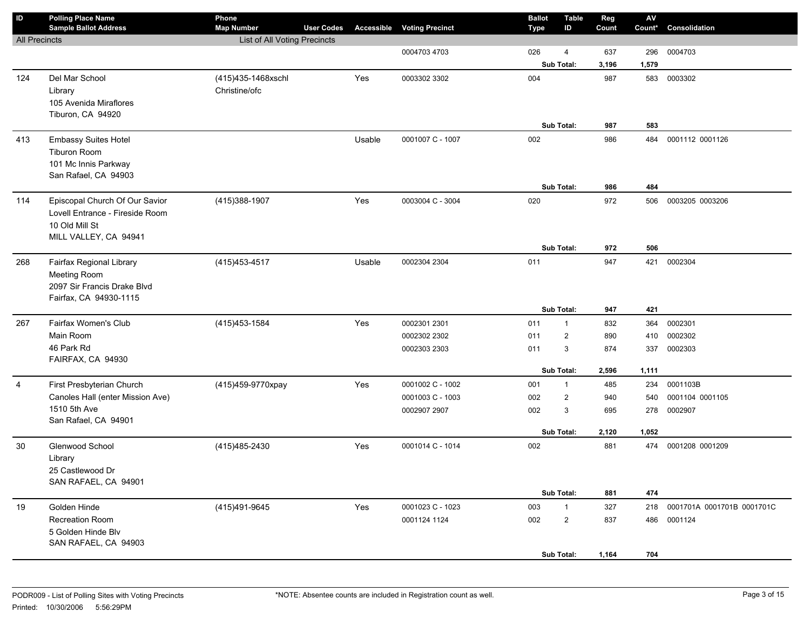| $\mathsf{ID}$        | <b>Polling Place Name</b>        | Phone                               |                   |            |                        | <b>Ballot</b> | <b>Table</b>    | Reg          | $\mathsf{AV}$ |                                |
|----------------------|----------------------------------|-------------------------------------|-------------------|------------|------------------------|---------------|-----------------|--------------|---------------|--------------------------------|
|                      | <b>Sample Ballot Address</b>     | <b>Map Number</b>                   | <b>User Codes</b> | Accessible | <b>Voting Precinct</b> | <b>Type</b>   | ID              | Count        | Count*        | Consolidation                  |
| <b>All Precincts</b> |                                  | List of All Voting Precincts        |                   |            |                        | 026           |                 |              |               |                                |
|                      |                                  |                                     |                   |            | 0004703 4703           |               | 4<br>Sub Total: | 637<br>3,196 | 296<br>1,579  | 0004703                        |
| 124                  | Del Mar School                   |                                     |                   | Yes        | 0003302 3302           | 004           |                 | 987          |               | 583 0003302                    |
|                      | Library                          | (415)435-1468xschl<br>Christine/ofc |                   |            |                        |               |                 |              |               |                                |
|                      | 105 Avenida Miraflores           |                                     |                   |            |                        |               |                 |              |               |                                |
|                      | Tiburon, CA 94920                |                                     |                   |            |                        |               |                 |              |               |                                |
|                      |                                  |                                     |                   |            |                        |               | Sub Total:      | 987          | 583           |                                |
| 413                  | <b>Embassy Suites Hotel</b>      |                                     |                   | Usable     | 0001007 C - 1007       | 002           |                 | 986          | 484           | 0001112 0001126                |
|                      | Tiburon Room                     |                                     |                   |            |                        |               |                 |              |               |                                |
|                      | 101 Mc Innis Parkway             |                                     |                   |            |                        |               |                 |              |               |                                |
|                      | San Rafael, CA 94903             |                                     |                   |            |                        |               |                 |              |               |                                |
|                      |                                  |                                     |                   |            |                        |               | Sub Total:      | 986          | 484           |                                |
| 114                  | Episcopal Church Of Our Savior   | (415) 388-1907                      |                   | Yes        | 0003004 C - 3004       | 020           |                 | 972          | 506           | 0003205 0003206                |
|                      | Lovell Entrance - Fireside Room  |                                     |                   |            |                        |               |                 |              |               |                                |
|                      | 10 Old Mill St                   |                                     |                   |            |                        |               |                 |              |               |                                |
|                      | MILL VALLEY, CA 94941            |                                     |                   |            |                        |               |                 |              |               |                                |
|                      |                                  |                                     |                   |            |                        |               | Sub Total:      | 972          | 506           |                                |
| 268                  | Fairfax Regional Library         | (415) 453-4517                      |                   | Usable     | 0002304 2304           | 011           |                 | 947          | 421           | 0002304                        |
|                      | <b>Meeting Room</b>              |                                     |                   |            |                        |               |                 |              |               |                                |
|                      | 2097 Sir Francis Drake Blvd      |                                     |                   |            |                        |               |                 |              |               |                                |
|                      | Fairfax, CA 94930-1115           |                                     |                   |            |                        |               |                 |              |               |                                |
|                      |                                  |                                     |                   |            |                        |               | Sub Total:      | 947          | 421           |                                |
| 267                  | Fairfax Women's Club             | (415) 453-1584                      |                   | Yes        | 0002301 2301           | 011           | $\mathbf{1}$    | 832          | 364           | 0002301                        |
|                      | Main Room                        |                                     |                   |            | 0002302 2302           | 011           | $\overline{2}$  | 890          | 410           | 0002302                        |
|                      | 46 Park Rd                       |                                     |                   |            | 0002303 2303           | 011           | 3               | 874          | 337           | 0002303                        |
|                      | FAIRFAX, CA 94930                |                                     |                   |            |                        |               | Sub Total:      | 2,596        | 1,111         |                                |
| 4                    | First Presbyterian Church        | (415)459-9770xpay                   |                   | Yes        | 0001002 C - 1002       | 001           | $\mathbf{1}$    | 485          | 234           | 0001103B                       |
|                      | Canoles Hall (enter Mission Ave) |                                     |                   |            | 0001003 C - 1003       | 002           | $\overline{2}$  | 940          | 540           | 0001104 0001105                |
|                      | 1510 5th Ave                     |                                     |                   |            | 0002907 2907           | 002           | 3               | 695          | 278           | 0002907                        |
|                      | San Rafael, CA 94901             |                                     |                   |            |                        |               |                 |              |               |                                |
|                      |                                  |                                     |                   |            |                        |               | Sub Total:      | 2,120        | 1,052         |                                |
| 30                   | Glenwood School                  | (415) 485-2430                      |                   | Yes        | 0001014 C - 1014       | 002           |                 | 881          |               | 474 0001208 0001209            |
|                      | Library                          |                                     |                   |            |                        |               |                 |              |               |                                |
|                      | 25 Castlewood Dr                 |                                     |                   |            |                        |               |                 |              |               |                                |
|                      | SAN RAFAEL, CA 94901             |                                     |                   |            |                        |               |                 |              |               |                                |
|                      |                                  |                                     |                   |            |                        |               | Sub Total:      | 881          | 474           |                                |
| 19                   | Golden Hinde                     | (415)491-9645                       |                   | Yes        | 0001023 C - 1023       | 003           | 1               | 327          |               | 218 0001701A 0001701B 0001701C |
|                      | Recreation Room                  |                                     |                   |            | 0001124 1124           | 002           | $\mathbf{2}$    | 837          |               | 486 0001124                    |
|                      | 5 Golden Hinde Blv               |                                     |                   |            |                        |               |                 |              |               |                                |
|                      | SAN RAFAEL, CA 94903             |                                     |                   |            |                        |               |                 |              |               |                                |
|                      |                                  |                                     |                   |            |                        |               | Sub Total:      | 1,164        | 704           |                                |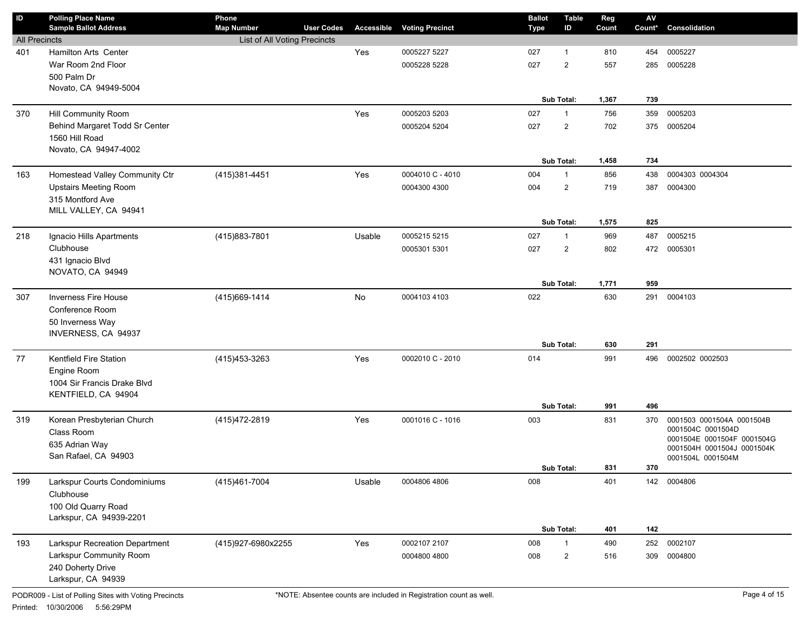| ID                   | <b>Polling Place Name</b><br><b>Sample Ballot Address</b> | Phone<br><b>Map Number</b>   | <b>User Codes</b> | <b>Accessible</b> | <b>Voting Precinct</b> | <b>Ballot</b><br><b>Type</b> | <b>Table</b><br>ID | Reg<br>Count | $\mathsf{A}\mathsf{V}$<br>Count* | Consolidation                                   |
|----------------------|-----------------------------------------------------------|------------------------------|-------------------|-------------------|------------------------|------------------------------|--------------------|--------------|----------------------------------|-------------------------------------------------|
| <b>All Precincts</b> |                                                           | List of All Voting Precincts |                   |                   |                        |                              |                    |              |                                  |                                                 |
| 401                  | Hamilton Arts Center                                      |                              |                   | Yes               | 0005227 5227           | 027                          | 1                  | 810          | 454                              | 0005227                                         |
|                      | War Room 2nd Floor                                        |                              |                   |                   | 0005228 5228           | 027                          | $\overline{2}$     | 557          | 285                              | 0005228                                         |
|                      | 500 Palm Dr                                               |                              |                   |                   |                        |                              |                    |              |                                  |                                                 |
|                      | Novato, CA 94949-5004                                     |                              |                   |                   |                        |                              |                    |              |                                  |                                                 |
|                      |                                                           |                              |                   |                   |                        |                              | Sub Total:         | 1,367        | 739                              |                                                 |
| 370                  | Hill Community Room                                       |                              |                   | Yes               | 0005203 5203           | 027                          | $\mathbf{1}$       | 756          | 359                              | 0005203                                         |
|                      | Behind Margaret Todd Sr Center                            |                              |                   |                   | 0005204 5204           | 027                          | $\overline{2}$     | 702          | 375                              | 0005204                                         |
|                      | 1560 Hill Road                                            |                              |                   |                   |                        |                              |                    |              |                                  |                                                 |
|                      | Novato, CA 94947-4002                                     |                              |                   |                   |                        |                              |                    |              |                                  |                                                 |
|                      |                                                           |                              |                   |                   |                        |                              | Sub Total:         | 1,458        | 734                              |                                                 |
| 163                  | Homestead Valley Community Ctr                            | (415)381-4451                |                   | Yes               | 0004010 C - 4010       | 004                          | $\mathbf{1}$       | 856          | 438                              | 0004303 0004304                                 |
|                      | <b>Upstairs Meeting Room</b>                              |                              |                   |                   | 0004300 4300           | 004                          | $\overline{2}$     | 719          | 387                              | 0004300                                         |
|                      | 315 Montford Ave                                          |                              |                   |                   |                        |                              |                    |              |                                  |                                                 |
|                      | MILL VALLEY, CA 94941                                     |                              |                   |                   |                        |                              |                    |              |                                  |                                                 |
|                      |                                                           |                              |                   |                   |                        |                              | Sub Total:         | 1,575        | 825                              |                                                 |
| 218                  | Ignacio Hills Apartments                                  | (415)883-7801                |                   | Usable            | 0005215 5215           | 027                          | 1                  | 969          | 487                              | 0005215                                         |
|                      | Clubhouse                                                 |                              |                   |                   | 0005301 5301           | 027                          | $\overline{2}$     | 802          | 472                              | 0005301                                         |
|                      | 431 Ignacio Blvd                                          |                              |                   |                   |                        |                              |                    |              |                                  |                                                 |
|                      | NOVATO, CA 94949                                          |                              |                   |                   |                        |                              |                    |              |                                  |                                                 |
|                      |                                                           |                              |                   |                   |                        |                              | Sub Total:         | 1,771        | 959                              |                                                 |
| 307                  | <b>Inverness Fire House</b>                               | (415) 669-1414               |                   | No                | 0004103 4103           | 022                          |                    | 630          | 291                              | 0004103                                         |
|                      | Conference Room                                           |                              |                   |                   |                        |                              |                    |              |                                  |                                                 |
|                      | 50 Inverness Way                                          |                              |                   |                   |                        |                              |                    |              |                                  |                                                 |
|                      | INVERNESS, CA 94937                                       |                              |                   |                   |                        |                              |                    |              |                                  |                                                 |
|                      |                                                           |                              |                   |                   |                        |                              | Sub Total:         | 630          | 291                              |                                                 |
| 77                   | Kentfield Fire Station                                    | (415) 453-3263               |                   | Yes               | 0002010 C - 2010       | 014                          |                    | 991          | 496                              | 0002502 0002503                                 |
|                      | Engine Room                                               |                              |                   |                   |                        |                              |                    |              |                                  |                                                 |
|                      | 1004 Sir Francis Drake Blvd                               |                              |                   |                   |                        |                              |                    |              |                                  |                                                 |
|                      | KENTFIELD, CA 94904                                       |                              |                   |                   |                        |                              |                    |              |                                  |                                                 |
|                      |                                                           |                              |                   |                   |                        |                              | Sub Total:         | 991          | 496                              |                                                 |
| 319                  | Korean Presbyterian Church                                | (415) 472-2819               |                   | Yes               | 0001016 C - 1016       | 003                          |                    | 831          | 370                              | 0001503 0001504A 0001504B                       |
|                      | Class Room                                                |                              |                   |                   |                        |                              |                    |              |                                  | 0001504C 0001504D<br>0001504E 0001504F 0001504G |
|                      | 635 Adrian Way                                            |                              |                   |                   |                        |                              |                    |              |                                  | 0001504H 0001504J 0001504K                      |
|                      | San Rafael, CA 94903                                      |                              |                   |                   |                        |                              |                    |              |                                  | 0001504L 0001504M                               |
|                      |                                                           |                              |                   |                   |                        |                              | Sub Total:         | 831          | 370                              |                                                 |
| 199                  | Larkspur Courts Condominiums                              | (415)461-7004                |                   | Usable            | 0004806 4806           | 008                          |                    | 401          |                                  | 142 0004806                                     |
|                      | Clubhouse                                                 |                              |                   |                   |                        |                              |                    |              |                                  |                                                 |
|                      | 100 Old Quarry Road                                       |                              |                   |                   |                        |                              |                    |              |                                  |                                                 |
|                      | Larkspur, CA 94939-2201                                   |                              |                   |                   |                        |                              |                    |              |                                  |                                                 |
|                      |                                                           |                              |                   |                   |                        |                              | Sub Total:         | 401          | 142                              |                                                 |
| 193                  | Larkspur Recreation Department                            | (415)927-6980x2255           |                   | Yes               | 0002107 2107           | 008                          | 1                  | 490          | 252                              | 0002107                                         |
|                      | Larkspur Community Room                                   |                              |                   |                   | 0004800 4800           | 008                          | $\overline{c}$     | 516          | 309                              | 0004800                                         |
|                      | 240 Doherty Drive                                         |                              |                   |                   |                        |                              |                    |              |                                  |                                                 |
|                      | Larkspur, CA 94939                                        |                              |                   |                   |                        |                              |                    |              |                                  |                                                 |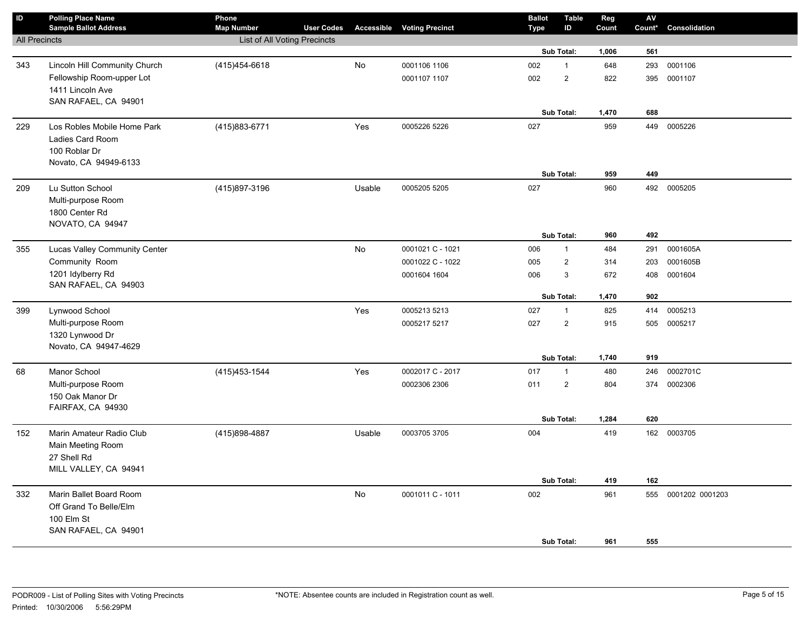| $\sf ID$             | <b>Polling Place Name</b><br><b>Sample Ballot Address</b> | Phone<br><b>Map Number</b>   | <b>User Codes</b> |           | <b>Accessible Voting Precinct</b> | <b>Ballot</b><br>Type | <b>Table</b><br>ID | Reg<br>Count | ${\sf AV}$<br>Count* | Consolidation   |
|----------------------|-----------------------------------------------------------|------------------------------|-------------------|-----------|-----------------------------------|-----------------------|--------------------|--------------|----------------------|-----------------|
| <b>All Precincts</b> |                                                           | List of All Voting Precincts |                   |           |                                   |                       |                    |              |                      |                 |
|                      |                                                           |                              |                   |           |                                   |                       | Sub Total:         | 1,006        | 561                  |                 |
| 343                  | Lincoln Hill Community Church                             | (415) 454-6618               |                   | <b>No</b> | 0001106 1106                      | 002                   | $\mathbf{1}$       | 648          | 293                  | 0001106         |
|                      | Fellowship Room-upper Lot                                 |                              |                   |           | 0001107 1107                      | 002                   | $\overline{c}$     | 822          | 395                  | 0001107         |
|                      | 1411 Lincoln Ave                                          |                              |                   |           |                                   |                       |                    |              |                      |                 |
|                      | SAN RAFAEL, CA 94901                                      |                              |                   |           |                                   |                       |                    |              |                      |                 |
|                      |                                                           |                              |                   |           |                                   |                       | Sub Total:         | 1,470        | 688                  |                 |
| 229                  | Los Robles Mobile Home Park                               | (415) 883-6771               |                   | Yes       | 0005226 5226                      | 027                   |                    | 959          |                      | 449 0005226     |
|                      | Ladies Card Room                                          |                              |                   |           |                                   |                       |                    |              |                      |                 |
|                      | 100 Roblar Dr                                             |                              |                   |           |                                   |                       |                    |              |                      |                 |
|                      | Novato, CA 94949-6133                                     |                              |                   |           |                                   |                       |                    |              |                      |                 |
|                      |                                                           |                              |                   |           |                                   |                       | Sub Total:         | 959          | 449                  |                 |
| 209                  | Lu Sutton School                                          | (415) 897-3196               |                   | Usable    | 0005205 5205                      | 027                   |                    | 960          | 492                  | 0005205         |
|                      | Multi-purpose Room                                        |                              |                   |           |                                   |                       |                    |              |                      |                 |
|                      | 1800 Center Rd                                            |                              |                   |           |                                   |                       |                    |              |                      |                 |
|                      | NOVATO, CA 94947                                          |                              |                   |           |                                   |                       | Sub Total:         | 960          | 492                  |                 |
| 355                  | Lucas Valley Community Center                             |                              |                   | No        | 0001021 C - 1021                  | 006                   | $\mathbf{1}$       | 484          | 291                  | 0001605A        |
|                      | Community Room                                            |                              |                   |           | 0001022 C - 1022                  |                       | $\overline{2}$     | 314          | 203                  | 0001605B        |
|                      | 1201 Idylberry Rd                                         |                              |                   |           |                                   | 005                   |                    |              |                      |                 |
|                      | SAN RAFAEL, CA 94903                                      |                              |                   |           | 0001604 1604                      | 006                   | 3                  | 672          | 408                  | 0001604         |
|                      |                                                           |                              |                   |           |                                   |                       | Sub Total:         | 1,470        | 902                  |                 |
| 399                  | Lynwood School                                            |                              |                   | Yes       | 0005213 5213                      | 027                   | $\mathbf{1}$       | 825          | 414                  | 0005213         |
|                      | Multi-purpose Room                                        |                              |                   |           | 0005217 5217                      | 027                   | $\overline{c}$     | 915          | 505                  | 0005217         |
|                      | 1320 Lynwood Dr                                           |                              |                   |           |                                   |                       |                    |              |                      |                 |
|                      | Novato, CA 94947-4629                                     |                              |                   |           |                                   |                       |                    |              |                      |                 |
|                      |                                                           |                              |                   |           |                                   |                       | Sub Total:         | 1,740        | 919                  |                 |
| 68                   | Manor School                                              | (415) 453-1544               |                   | Yes       | 0002017 C - 2017                  | 017                   | $\mathbf{1}$       | 480          | 246                  | 0002701C        |
|                      | Multi-purpose Room                                        |                              |                   |           | 0002306 2306                      | 011                   | $\overline{2}$     | 804          | 374                  | 0002306         |
|                      | 150 Oak Manor Dr                                          |                              |                   |           |                                   |                       |                    |              |                      |                 |
|                      | FAIRFAX, CA 94930                                         |                              |                   |           |                                   |                       |                    |              |                      |                 |
|                      |                                                           |                              |                   |           |                                   |                       | Sub Total:         | 1,284        | 620                  |                 |
| 152                  | Marin Amateur Radio Club                                  | (415) 898-4887               |                   | Usable    | 0003705 3705                      | 004                   |                    | 419          |                      | 162 0003705     |
|                      | Main Meeting Room                                         |                              |                   |           |                                   |                       |                    |              |                      |                 |
|                      | 27 Shell Rd                                               |                              |                   |           |                                   |                       |                    |              |                      |                 |
|                      | MILL VALLEY, CA 94941                                     |                              |                   |           |                                   |                       |                    |              |                      |                 |
|                      |                                                           |                              |                   |           |                                   |                       | Sub Total:         | 419          | 162                  |                 |
| 332                  | Marin Ballet Board Room                                   |                              |                   | No        | 0001011 C - 1011                  | 002                   |                    | 961          | 555                  | 0001202 0001203 |
|                      | Off Grand To Belle/Elm                                    |                              |                   |           |                                   |                       |                    |              |                      |                 |
|                      | 100 Elm St                                                |                              |                   |           |                                   |                       |                    |              |                      |                 |
|                      |                                                           |                              |                   |           |                                   |                       |                    |              |                      |                 |
|                      | SAN RAFAEL, CA 94901                                      |                              |                   |           |                                   |                       | Sub Total:         | 961          | 555                  |                 |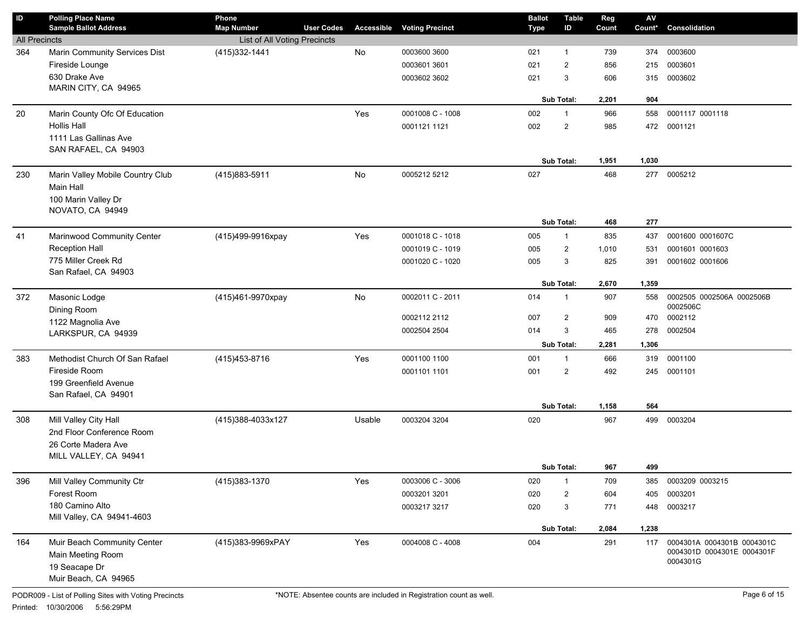| $\sf ID$             | <b>Polling Place Name</b><br><b>Sample Ballot Address</b> | Phone<br><b>Map Number</b>   | <b>User Codes</b> |        | <b>Accessible Voting Precinct</b> | <b>Ballot</b><br>Type | <b>Table</b><br>ID | Reg<br>Count | $\mathsf{AV}$<br>Count* | Consolidation                                            |
|----------------------|-----------------------------------------------------------|------------------------------|-------------------|--------|-----------------------------------|-----------------------|--------------------|--------------|-------------------------|----------------------------------------------------------|
| <b>All Precincts</b> |                                                           | List of All Voting Precincts |                   |        |                                   |                       |                    |              |                         |                                                          |
| 364                  | Marin Community Services Dist                             | (415) 332-1441               |                   | No     | 0003600 3600                      | 021                   | $\mathbf{1}$       | 739          | 374                     | 0003600                                                  |
|                      | Fireside Lounge                                           |                              |                   |        | 0003601 3601                      | 021                   | $\overline{2}$     | 856          | 215                     | 0003601                                                  |
|                      | 630 Drake Ave                                             |                              |                   |        | 0003602 3602                      | 021                   | 3                  | 606          | 315                     | 0003602                                                  |
|                      | MARIN CITY, CA 94965                                      |                              |                   |        |                                   |                       |                    |              |                         |                                                          |
|                      |                                                           |                              |                   |        |                                   |                       | Sub Total:         | 2,201        | 904                     |                                                          |
| 20                   | Marin County Ofc Of Education                             |                              |                   | Yes    | 0001008 C - 1008                  | 002                   | $\mathbf{1}$       | 966          | 558                     | 0001117 0001118                                          |
|                      | <b>Hollis Hall</b>                                        |                              |                   |        | 0001121 1121                      | 002                   | $\overline{2}$     | 985          | 472                     | 0001121                                                  |
|                      | 1111 Las Gallinas Ave                                     |                              |                   |        |                                   |                       |                    |              |                         |                                                          |
|                      | SAN RAFAEL, CA 94903                                      |                              |                   |        |                                   |                       |                    |              |                         |                                                          |
|                      |                                                           |                              |                   |        |                                   |                       | Sub Total:         | 1,951        | 1,030                   |                                                          |
| 230                  | Marin Valley Mobile Country Club                          | (415) 883-5911               |                   | No     | 0005212 5212                      | 027                   |                    | 468          | 277                     | 0005212                                                  |
|                      | Main Hall                                                 |                              |                   |        |                                   |                       |                    |              |                         |                                                          |
|                      | 100 Marin Valley Dr<br>NOVATO, CA 94949                   |                              |                   |        |                                   |                       |                    |              |                         |                                                          |
|                      |                                                           |                              |                   |        |                                   |                       | Sub Total:         | 468          | 277                     |                                                          |
| 41                   | Marinwood Community Center                                | (415)499-9916xpay            |                   | Yes    | 0001018 C - 1018                  | 005                   | $\mathbf{1}$       | 835          | 437                     | 0001600 0001607C                                         |
|                      | <b>Reception Hall</b>                                     |                              |                   |        | 0001019 C - 1019                  | 005                   | $\overline{2}$     | 1,010        | 531                     | 0001601 0001603                                          |
|                      | 775 Miller Creek Rd                                       |                              |                   |        | 0001020 C - 1020                  | 005                   | 3                  | 825          | 391                     | 0001602 0001606                                          |
|                      | San Rafael, CA 94903                                      |                              |                   |        |                                   |                       |                    |              |                         |                                                          |
|                      |                                                           |                              |                   |        |                                   |                       | Sub Total:         | 2,670        | 1,359                   |                                                          |
| 372                  | Masonic Lodge                                             | (415)461-9970xpay            |                   | No     | 0002011 C - 2011                  | 014                   | 1                  | 907          | 558                     | 0002505 0002506A 0002506B                                |
|                      | Dining Room                                               |                              |                   |        |                                   |                       |                    |              |                         | 0002506C                                                 |
|                      | 1122 Magnolia Ave                                         |                              |                   |        | 0002112 2112                      | 007                   | $\overline{2}$     | 909          | 470                     | 0002112                                                  |
|                      | LARKSPUR, CA 94939                                        |                              |                   |        | 0002504 2504                      | 014                   | 3                  | 465          | 278                     | 0002504                                                  |
|                      |                                                           |                              |                   |        |                                   |                       | <b>Sub Total:</b>  | 2,281        | 1,306                   |                                                          |
| 383                  | Methodist Church Of San Rafael                            | (415) 453-8716               |                   | Yes    | 0001100 1100                      | 001                   | $\mathbf{1}$       | 666          | 319                     | 0001100                                                  |
|                      | Fireside Room                                             |                              |                   |        | 0001101 1101                      | 001                   | $\overline{2}$     | 492          | 245                     | 0001101                                                  |
|                      | 199 Greenfield Avenue<br>San Rafael, CA 94901             |                              |                   |        |                                   |                       |                    |              |                         |                                                          |
|                      |                                                           |                              |                   |        |                                   |                       | Sub Total:         | 1,158        | 564                     |                                                          |
| 308                  | Mill Valley City Hall                                     | (415)388-4033x127            |                   | Usable | 0003204 3204                      | 020                   |                    | 967          | 499                     | 0003204                                                  |
|                      | 2nd Floor Conference Room                                 |                              |                   |        |                                   |                       |                    |              |                         |                                                          |
|                      | 26 Corte Madera Ave                                       |                              |                   |        |                                   |                       |                    |              |                         |                                                          |
|                      | MILL VALLEY, CA 94941                                     |                              |                   |        |                                   |                       |                    |              |                         |                                                          |
|                      |                                                           |                              |                   |        |                                   |                       | Sub Total:         | 967          | 499                     |                                                          |
| 396                  | Mill Valley Community Ctr                                 | (415) 383-1370               |                   | Yes    | 0003006 C - 3006                  | 020                   | $\mathbf{1}$       | 709          | 385                     | 0003209 0003215                                          |
|                      | Forest Room                                               |                              |                   |        | 0003201 3201                      | 020                   | $\overline{2}$     | 604          | 405                     | 0003201                                                  |
|                      | 180 Camino Alto                                           |                              |                   |        | 0003217 3217                      | 020                   | 3                  | 771          | 448                     | 0003217                                                  |
|                      | Mill Valley, CA 94941-4603                                |                              |                   |        |                                   |                       |                    |              |                         |                                                          |
|                      |                                                           |                              |                   |        |                                   |                       | Sub Total:         | 2,084        | 1,238                   |                                                          |
| 164                  | Muir Beach Community Center                               | (415)383-9969xPAY            |                   | Yes    | 0004008 C - 4008                  | 004                   |                    | 291          | 117                     | 0004301A 0004301B 0004301C<br>0004301D 0004301E 0004301F |
|                      | Main Meeting Room                                         |                              |                   |        |                                   |                       |                    |              |                         | 0004301G                                                 |
|                      | 19 Seacape Dr<br>Muir Beach, CA 94965                     |                              |                   |        |                                   |                       |                    |              |                         |                                                          |
|                      |                                                           |                              |                   |        |                                   |                       |                    |              |                         |                                                          |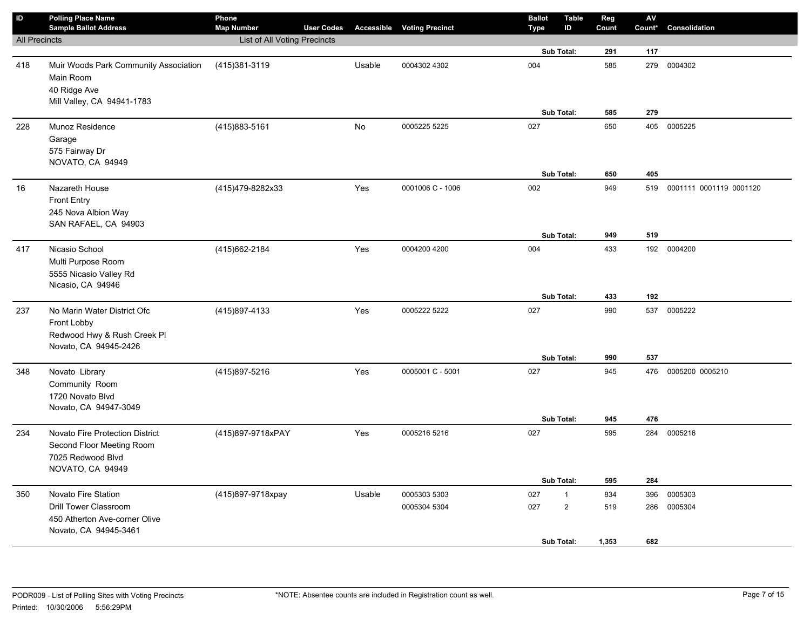| $\sf ID$             | <b>Polling Place Name</b><br><b>Sample Ballot Address</b>                                          | Phone<br><b>Map Number</b>   | <b>User Codes</b> |        | <b>Accessible Voting Precinct</b> | <b>Ballot</b><br><b>Type</b> | <b>Table</b><br>ID | Reg<br>Count | ${\sf AV}$<br>Count* | Consolidation           |
|----------------------|----------------------------------------------------------------------------------------------------|------------------------------|-------------------|--------|-----------------------------------|------------------------------|--------------------|--------------|----------------------|-------------------------|
| <b>All Precincts</b> |                                                                                                    | List of All Voting Precincts |                   |        |                                   |                              |                    |              |                      |                         |
|                      |                                                                                                    |                              |                   |        |                                   |                              | Sub Total:         | 291          | 117                  |                         |
| 418                  | Muir Woods Park Community Association<br>Main Room<br>40 Ridge Ave                                 | (415)381-3119                |                   | Usable | 0004302 4302                      | 004                          |                    | 585          | 279                  | 0004302                 |
|                      | Mill Valley, CA 94941-1783                                                                         |                              |                   |        |                                   |                              | Sub Total:         | 585          | 279                  |                         |
| 228                  | Munoz Residence<br>Garage<br>575 Fairway Dr<br>NOVATO, CA 94949                                    | (415) 883-5161               |                   | No     | 0005225 5225                      | 027                          |                    | 650          | 405                  | 0005225                 |
|                      |                                                                                                    |                              |                   |        |                                   |                              | Sub Total:         | 650          | 405                  |                         |
| 16                   | Nazareth House<br><b>Front Entry</b><br>245 Nova Albion Way<br>SAN RAFAEL, CA 94903                | (415)479-8282x33             |                   | Yes    | 0001006 C - 1006                  | 002                          | Sub Total:         | 949<br>949   | 519<br>519           | 0001111 0001119 0001120 |
|                      |                                                                                                    |                              |                   |        |                                   |                              |                    | 433          |                      |                         |
| 417                  | Nicasio School<br>Multi Purpose Room<br>5555 Nicasio Valley Rd<br>Nicasio, CA 94946                | (415) 662-2184               |                   | Yes    | 0004200 4200                      | 004                          | Sub Total:         | 433          | 192<br>192           | 0004200                 |
| 237                  | No Marin Water District Ofc<br>Front Lobby<br>Redwood Hwy & Rush Creek Pl<br>Novato, CA 94945-2426 | (415)897-4133                |                   | Yes    | 0005222 5222                      | 027                          |                    | 990          | 537                  | 0005222                 |
|                      |                                                                                                    |                              |                   |        |                                   |                              | Sub Total:         | 990          | 537                  |                         |
| 348                  | Novato Library<br>Community Room<br>1720 Novato Blvd<br>Novato, CA 94947-3049                      | (415)897-5216                |                   | Yes    | 0005001 C - 5001                  | 027                          | Sub Total:         | 945<br>945   | 476<br>476           | 0005200 0005210         |
| 234                  | Novato Fire Protection District                                                                    | (415)897-9718xPAY            |                   | Yes    | 0005216 5216                      | 027                          |                    | 595          | 284                  | 0005216                 |
|                      | Second Floor Meeting Room<br>7025 Redwood Blvd<br>NOVATO, CA 94949                                 |                              |                   |        |                                   |                              | Sub Total:         | 595          | 284                  |                         |
|                      | Novato Fire Station                                                                                |                              |                   |        | 0005303 5303                      | 027                          | $\mathbf{1}$       | 834          | 396                  | 0005303                 |
| 350                  | <b>Drill Tower Classroom</b><br>450 Atherton Ave-corner Olive<br>Novato, CA 94945-3461             | (415)897-9718xpay            |                   | Usable | 0005304 5304                      | 027                          | $\overline{2}$     | 519          | 286                  | 0005304                 |
|                      |                                                                                                    |                              |                   |        |                                   |                              | Sub Total:         | 1,353        | 682                  |                         |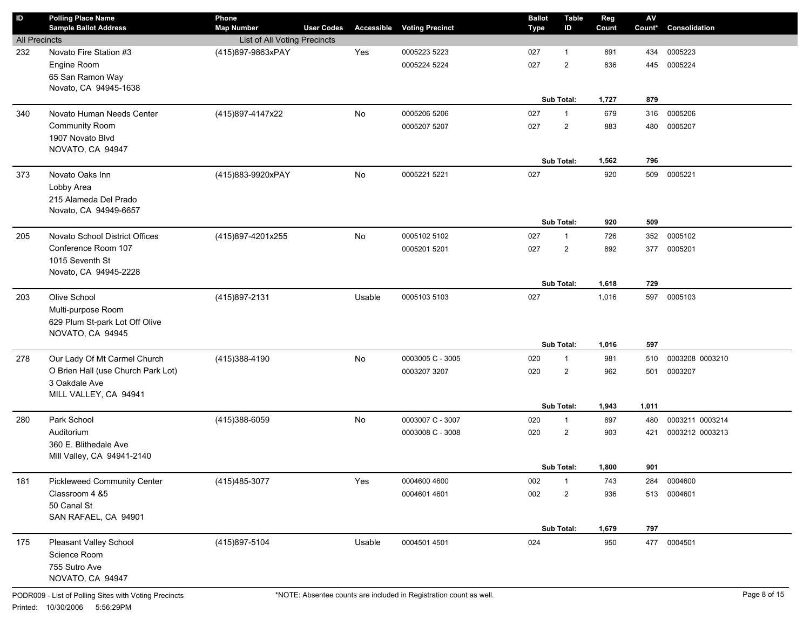| $\sf ID$             | <b>Polling Place Name</b><br><b>Sample Ballot Address</b>          | Phone<br><b>Map Number</b>          | <b>User Codes</b> | <b>Accessible</b> | <b>Voting Precinct</b> | Type | <b>Ballot</b> | <b>Table</b><br>ID | Reg<br>Count | $\mathsf{A}\mathsf{V}$<br>Count* | Consolidation   |
|----------------------|--------------------------------------------------------------------|-------------------------------------|-------------------|-------------------|------------------------|------|---------------|--------------------|--------------|----------------------------------|-----------------|
| <b>All Precincts</b> |                                                                    | <b>List of All Voting Precincts</b> |                   |                   |                        |      |               |                    |              |                                  |                 |
| 232                  | Novato Fire Station #3                                             | (415)897-9863xPAY                   |                   | Yes               | 0005223 5223           | 027  |               | $\mathbf{1}$       | 891          | 434                              | 0005223         |
|                      | Engine Room                                                        |                                     |                   |                   | 0005224 5224           | 027  |               | $\overline{2}$     | 836          | 445                              | 0005224         |
|                      | 65 San Ramon Way                                                   |                                     |                   |                   |                        |      |               |                    |              |                                  |                 |
|                      | Novato, CA 94945-1638                                              |                                     |                   |                   |                        |      |               |                    |              |                                  |                 |
|                      |                                                                    |                                     |                   |                   |                        |      |               | Sub Total:         | 1,727        | 879                              |                 |
| 340                  | Novato Human Needs Center                                          | (415)897-4147x22                    |                   | No                | 0005206 5206           | 027  |               | $\mathbf{1}$       | 679          | 316                              | 0005206         |
|                      | <b>Community Room</b>                                              |                                     |                   |                   | 0005207 5207           | 027  |               | $\overline{2}$     | 883          | 480                              | 0005207         |
|                      | 1907 Novato Blvd                                                   |                                     |                   |                   |                        |      |               |                    |              |                                  |                 |
|                      | NOVATO, CA 94947                                                   |                                     |                   |                   |                        |      |               |                    |              |                                  |                 |
|                      |                                                                    |                                     |                   |                   |                        |      |               | Sub Total:         | 1,562        | 796                              |                 |
| 373                  | Novato Oaks Inn                                                    | (415)883-9920xPAY                   |                   | No                | 0005221 5221           | 027  |               |                    | 920          | 509                              | 0005221         |
|                      | Lobby Area<br>215 Alameda Del Prado                                |                                     |                   |                   |                        |      |               |                    |              |                                  |                 |
|                      | Novato, CA 94949-6657                                              |                                     |                   |                   |                        |      |               |                    |              |                                  |                 |
|                      |                                                                    |                                     |                   |                   |                        |      |               | Sub Total:         | 920          | 509                              |                 |
| 205                  | Novato School District Offices                                     | (415)897-4201x255                   |                   | No                | 0005102 5102           | 027  |               | $\mathbf{1}$       | 726          | 352                              | 0005102         |
|                      | Conference Room 107                                                |                                     |                   |                   | 0005201 5201           | 027  |               | $\overline{2}$     | 892          | 377                              | 0005201         |
|                      | 1015 Seventh St                                                    |                                     |                   |                   |                        |      |               |                    |              |                                  |                 |
|                      | Novato, CA 94945-2228                                              |                                     |                   |                   |                        |      |               |                    |              |                                  |                 |
|                      |                                                                    |                                     |                   |                   |                        |      |               | Sub Total:         | 1,618        | 729                              |                 |
| 203                  | Olive School                                                       | (415)897-2131                       |                   | Usable            | 0005103 5103           | 027  |               |                    | 1,016        | 597                              | 0005103         |
|                      | Multi-purpose Room                                                 |                                     |                   |                   |                        |      |               |                    |              |                                  |                 |
|                      | 629 Plum St-park Lot Off Olive                                     |                                     |                   |                   |                        |      |               |                    |              |                                  |                 |
|                      | NOVATO, CA 94945                                                   |                                     |                   |                   |                        |      |               | Sub Total:         | 1,016        | 597                              |                 |
|                      |                                                                    |                                     |                   |                   |                        |      |               |                    |              |                                  |                 |
| 278                  | Our Lady Of Mt Carmel Church<br>O Brien Hall (use Church Park Lot) | (415) 388-4190                      |                   | No                | 0003005 C - 3005       | 020  |               | $\mathbf{1}$       | 981<br>962   | 510                              | 0003208 0003210 |
|                      | 3 Oakdale Ave                                                      |                                     |                   |                   | 0003207 3207           | 020  |               | $\overline{2}$     |              | 501                              | 0003207         |
|                      | MILL VALLEY, CA 94941                                              |                                     |                   |                   |                        |      |               |                    |              |                                  |                 |
|                      |                                                                    |                                     |                   |                   |                        |      |               | Sub Total:         | 1,943        | 1,011                            |                 |
| 280                  | Park School                                                        | (415)388-6059                       |                   | No                | 0003007 C - 3007       | 020  |               | $\mathbf{1}$       | 897          | 480                              | 0003211 0003214 |
|                      | Auditorium                                                         |                                     |                   |                   | 0003008 C - 3008       | 020  |               | $\overline{2}$     | 903          | 421                              | 0003212 0003213 |
|                      | 360 E. Blithedale Ave                                              |                                     |                   |                   |                        |      |               |                    |              |                                  |                 |
|                      | Mill Valley, CA 94941-2140                                         |                                     |                   |                   |                        |      |               |                    |              |                                  |                 |
|                      |                                                                    |                                     |                   |                   |                        |      |               | Sub Total:         | 1,800        | 901                              |                 |
| 181                  | <b>Pickleweed Community Center</b>                                 | (415) 485-3077                      |                   | Yes               | 0004600 4600           | 002  |               | $\mathbf{1}$       | 743          | 284                              | 0004600         |
|                      | Classroom 4 &5                                                     |                                     |                   |                   | 0004601 4601           | 002  |               | $\overline{2}$     | 936          | 513                              | 0004601         |
|                      | 50 Canal St                                                        |                                     |                   |                   |                        |      |               |                    |              |                                  |                 |
|                      | SAN RAFAEL, CA 94901                                               |                                     |                   |                   |                        |      |               |                    |              |                                  |                 |
|                      |                                                                    |                                     |                   |                   |                        |      |               | Sub Total:         | 1,679        | 797                              |                 |
| 175                  | Pleasant Valley School                                             | (415) 897-5104                      |                   | Usable            | 0004501 4501           | 024  |               |                    | 950          |                                  | 477 0004501     |
|                      | Science Room<br>755 Sutro Ave                                      |                                     |                   |                   |                        |      |               |                    |              |                                  |                 |
|                      | NOVATO, CA 94947                                                   |                                     |                   |                   |                        |      |               |                    |              |                                  |                 |
|                      |                                                                    |                                     |                   |                   |                        |      |               |                    |              |                                  |                 |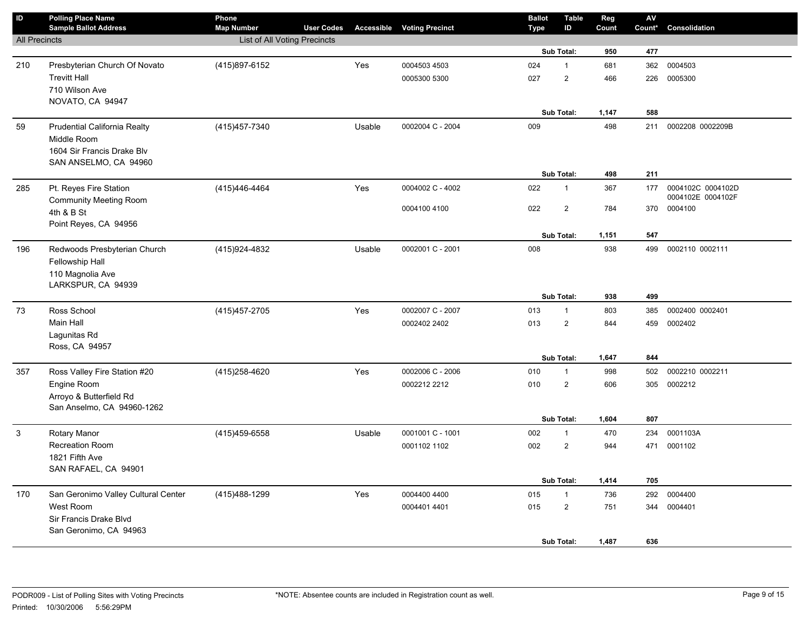| $\sf ID$             | <b>Polling Place Name</b>             | Phone                        |                   |        |                                   | <b>Ballot</b> | <b>Table</b>            | Reg   | AV     |                   |
|----------------------|---------------------------------------|------------------------------|-------------------|--------|-----------------------------------|---------------|-------------------------|-------|--------|-------------------|
|                      | <b>Sample Ballot Address</b>          | <b>Map Number</b>            | <b>User Codes</b> |        | <b>Accessible Voting Precinct</b> | <b>Type</b>   | ID                      | Count | Count* | Consolidation     |
| <b>All Precincts</b> |                                       | List of All Voting Precincts |                   |        |                                   |               | Sub Total:              | 950   | 477    |                   |
|                      |                                       |                              |                   |        |                                   |               |                         |       |        |                   |
| 210                  | Presbyterian Church Of Novato         | (415) 897-6152               |                   | Yes    | 0004503 4503                      | 024           | $\mathbf{1}$            | 681   | 362    | 0004503           |
|                      | <b>Trevitt Hall</b><br>710 Wilson Ave |                              |                   |        | 0005300 5300                      | 027           | $\mathbf 2$             | 466   | 226    | 0005300           |
|                      | NOVATO, CA 94947                      |                              |                   |        |                                   |               |                         |       |        |                   |
|                      |                                       |                              |                   |        |                                   |               | Sub Total:              | 1,147 | 588    |                   |
| 59                   | Prudential California Realty          | (415) 457-7340               |                   | Usable | 0002004 C - 2004                  | 009           |                         | 498   | 211    | 0002208 0002209B  |
|                      | Middle Room                           |                              |                   |        |                                   |               |                         |       |        |                   |
|                      | 1604 Sir Francis Drake Blv            |                              |                   |        |                                   |               |                         |       |        |                   |
|                      | SAN ANSELMO, CA 94960                 |                              |                   |        |                                   |               |                         |       |        |                   |
|                      |                                       |                              |                   |        |                                   |               | Sub Total:              | 498   | 211    |                   |
| 285                  | Pt. Reyes Fire Station                | (415) 446-4464               |                   | Yes    | 0004002 C - 4002                  | 022           | $\mathbf{1}$            | 367   | 177    | 0004102C 0004102D |
|                      | <b>Community Meeting Room</b>         |                              |                   |        |                                   |               |                         |       |        | 0004102E 0004102F |
|                      | 4th & B St                            |                              |                   |        | 0004100 4100                      | 022           | $\overline{\mathbf{c}}$ | 784   |        | 370 0004100       |
|                      | Point Reyes, CA 94956                 |                              |                   |        |                                   |               |                         |       |        |                   |
|                      |                                       |                              |                   |        |                                   |               | Sub Total:              | 1,151 | 547    |                   |
| 196                  | Redwoods Presbyterian Church          | (415) 924-4832               |                   | Usable | 0002001 C - 2001                  | 008           |                         | 938   | 499    | 0002110 0002111   |
|                      | Fellowship Hall                       |                              |                   |        |                                   |               |                         |       |        |                   |
|                      | 110 Magnolia Ave                      |                              |                   |        |                                   |               |                         |       |        |                   |
|                      | LARKSPUR, CA 94939                    |                              |                   |        |                                   |               |                         |       |        |                   |
|                      |                                       |                              |                   |        |                                   |               | Sub Total:              | 938   | 499    |                   |
| 73                   | Ross School                           | (415) 457-2705               |                   | Yes    | 0002007 C - 2007                  | 013           | $\mathbf{1}$            | 803   | 385    | 0002400 0002401   |
|                      | Main Hall                             |                              |                   |        | 0002402 2402                      | 013           | $\mathbf 2$             | 844   | 459    | 0002402           |
|                      | Lagunitas Rd<br>Ross, CA 94957        |                              |                   |        |                                   |               |                         |       |        |                   |
|                      |                                       |                              |                   |        |                                   |               | Sub Total:              | 1,647 | 844    |                   |
| 357                  | Ross Valley Fire Station #20          | (415) 258-4620               |                   | Yes    | 0002006 C - 2006                  | 010           | $\mathbf{1}$            | 998   | 502    | 0002210 0002211   |
|                      | Engine Room                           |                              |                   |        | 0002212 2212                      | 010           | $\overline{2}$          | 606   | 305    | 0002212           |
|                      | Arroyo & Butterfield Rd               |                              |                   |        |                                   |               |                         |       |        |                   |
|                      | San Anselmo, CA 94960-1262            |                              |                   |        |                                   |               |                         |       |        |                   |
|                      |                                       |                              |                   |        |                                   |               | Sub Total:              | 1,604 | 807    |                   |
| 3                    | <b>Rotary Manor</b>                   | (415)459-6558                |                   | Usable | 0001001 C - 1001                  | 002           | $\mathbf{1}$            | 470   | 234    | 0001103A          |
|                      | <b>Recreation Room</b>                |                              |                   |        | 0001102 1102                      | 002           | $\overline{2}$          | 944   | 471    | 0001102           |
|                      | 1821 Fifth Ave                        |                              |                   |        |                                   |               |                         |       |        |                   |
|                      | SAN RAFAEL, CA 94901                  |                              |                   |        |                                   |               |                         |       |        |                   |
|                      |                                       |                              |                   |        |                                   |               | Sub Total:              | 1,414 | 705    |                   |
| 170                  | San Geronimo Valley Cultural Center   | (415) 488-1299               |                   | Yes    | 0004400 4400                      | 015           | $\mathbf{1}$            | 736   | 292    | 0004400           |
|                      | West Room                             |                              |                   |        | 0004401 4401                      | 015           | $\overline{\mathbf{c}}$ | 751   | 344    | 0004401           |
|                      | Sir Francis Drake Blvd                |                              |                   |        |                                   |               |                         |       |        |                   |
|                      | San Geronimo, CA 94963                |                              |                   |        |                                   |               |                         |       |        |                   |
|                      |                                       |                              |                   |        |                                   |               | Sub Total:              | 1,487 | 636    |                   |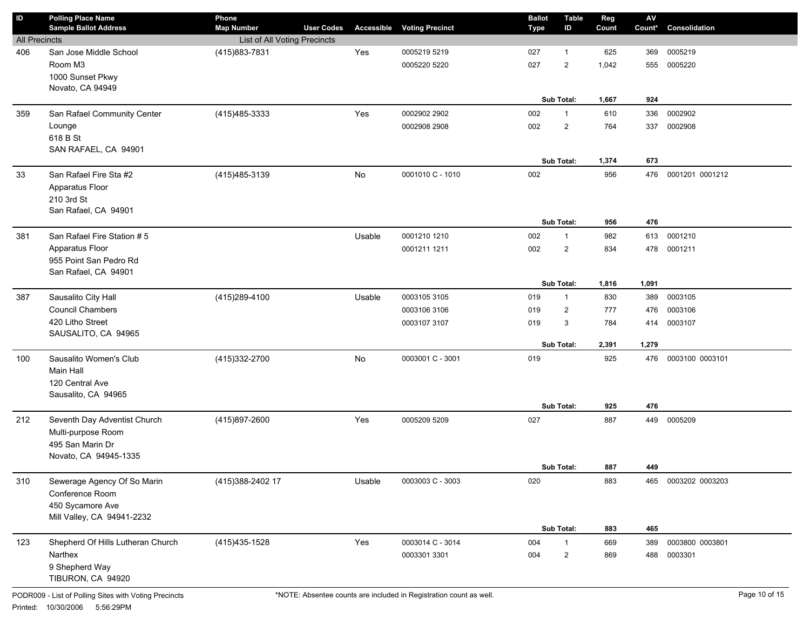| ID                   | <b>Polling Place Name</b><br><b>Sample Ballot Address</b> | Phone<br><b>Map Number</b>   | <b>User Codes</b> | <b>Accessible</b> | <b>Voting Precinct</b> | <b>Ballot</b><br><b>Type</b> | <b>Table</b><br>ID | Reg<br>Count | $\mathsf{A}\mathsf{V}$<br>Count* | Consolidation       |
|----------------------|-----------------------------------------------------------|------------------------------|-------------------|-------------------|------------------------|------------------------------|--------------------|--------------|----------------------------------|---------------------|
| <b>All Precincts</b> |                                                           | List of All Voting Precincts |                   |                   |                        |                              |                    |              |                                  |                     |
| 406                  | San Jose Middle School                                    | (415) 883-7831               |                   | Yes               | 0005219 5219           | 027                          | 1                  | 625          | 369                              | 0005219             |
|                      | Room M3                                                   |                              |                   |                   | 0005220 5220           | 027                          | $\overline{2}$     | 1,042        | 555                              | 0005220             |
|                      | 1000 Sunset Pkwy                                          |                              |                   |                   |                        |                              |                    |              |                                  |                     |
|                      | Novato, CA 94949                                          |                              |                   |                   |                        |                              |                    |              |                                  |                     |
|                      |                                                           |                              |                   |                   |                        |                              | Sub Total:         | 1,667        | 924                              |                     |
| 359                  | San Rafael Community Center                               | (415) 485-3333               |                   | Yes               | 0002902 2902           | 002                          | $\mathbf{1}$       | 610          | 336                              | 0002902             |
|                      | Lounge                                                    |                              |                   |                   | 0002908 2908           | 002                          | $\overline{2}$     | 764          | 337                              | 0002908             |
|                      | 618 B St                                                  |                              |                   |                   |                        |                              |                    |              |                                  |                     |
|                      | SAN RAFAEL, CA 94901                                      |                              |                   |                   |                        |                              |                    |              |                                  |                     |
|                      |                                                           |                              |                   |                   |                        |                              | Sub Total:         | 1,374        | 673                              |                     |
| 33                   | San Rafael Fire Sta #2                                    | (415) 485-3139               |                   | No                | 0001010 C - 1010       | 002                          |                    | 956          | 476                              | 0001201 0001212     |
|                      | Apparatus Floor                                           |                              |                   |                   |                        |                              |                    |              |                                  |                     |
|                      | 210 3rd St                                                |                              |                   |                   |                        |                              |                    |              |                                  |                     |
|                      | San Rafael, CA 94901                                      |                              |                   |                   |                        |                              |                    |              |                                  |                     |
|                      |                                                           |                              |                   |                   |                        |                              | Sub Total:         | 956          | 476                              |                     |
| 381                  | San Rafael Fire Station # 5                               |                              |                   | Usable            | 0001210 1210           | 002                          | $\mathbf{1}$       | 982          | 613                              | 0001210             |
|                      | Apparatus Floor                                           |                              |                   |                   | 0001211 1211           | 002                          | $\overline{2}$     | 834          | 478                              | 0001211             |
|                      | 955 Point San Pedro Rd<br>San Rafael, CA 94901            |                              |                   |                   |                        |                              |                    |              |                                  |                     |
|                      |                                                           |                              |                   |                   |                        |                              | Sub Total:         | 1,816        | 1,091                            |                     |
| 387                  | Sausalito City Hall                                       | (415) 289-4100               |                   | Usable            | 0003105 3105           | 019                          | $\mathbf{1}$       | 830          | 389                              | 0003105             |
|                      | <b>Council Chambers</b>                                   |                              |                   |                   | 0003106 3106           | 019                          | $\overline{2}$     | 777          | 476                              | 0003106             |
|                      | 420 Litho Street                                          |                              |                   |                   | 0003107 3107           |                              | 3                  | 784          | 414                              | 0003107             |
|                      | SAUSALITO, CA 94965                                       |                              |                   |                   |                        | 019                          |                    |              |                                  |                     |
|                      |                                                           |                              |                   |                   |                        |                              | Sub Total:         | 2,391        | 1,279                            |                     |
| 100                  | Sausalito Women's Club                                    | (415) 332-2700               |                   | No                | 0003001 C - 3001       | 019                          |                    | 925          | 476                              | 0003100 0003101     |
|                      | Main Hall                                                 |                              |                   |                   |                        |                              |                    |              |                                  |                     |
|                      | 120 Central Ave                                           |                              |                   |                   |                        |                              |                    |              |                                  |                     |
|                      | Sausalito, CA 94965                                       |                              |                   |                   |                        |                              |                    |              |                                  |                     |
|                      |                                                           |                              |                   |                   |                        |                              | Sub Total:         | 925          | 476                              |                     |
| 212                  | Seventh Day Adventist Church                              | (415)897-2600                |                   | Yes               | 0005209 5209           | 027                          |                    | 887          | 449                              | 0005209             |
|                      | Multi-purpose Room                                        |                              |                   |                   |                        |                              |                    |              |                                  |                     |
|                      | 495 San Marin Dr                                          |                              |                   |                   |                        |                              |                    |              |                                  |                     |
|                      | Novato, CA 94945-1335                                     |                              |                   |                   |                        |                              |                    |              |                                  |                     |
|                      |                                                           |                              |                   |                   |                        |                              | Sub Total:         | 887          | 449                              |                     |
| 310                  | Sewerage Agency Of So Marin                               | (415) 388-2402 17            |                   | Usable            | 0003003 C - 3003       | 020                          |                    | 883          |                                  | 465 0003202 0003203 |
|                      | Conference Room                                           |                              |                   |                   |                        |                              |                    |              |                                  |                     |
|                      | 450 Sycamore Ave                                          |                              |                   |                   |                        |                              |                    |              |                                  |                     |
|                      | Mill Valley, CA 94941-2232                                |                              |                   |                   |                        |                              |                    |              |                                  |                     |
|                      |                                                           |                              |                   |                   |                        |                              | Sub Total:         | 883          | 465                              |                     |
| 123                  | Shepherd Of Hills Lutheran Church                         | (415) 435-1528               |                   | Yes               | 0003014 C - 3014       | 004                          | $\mathbf{1}$       | 669          | 389                              | 0003800 0003801     |
|                      | Narthex                                                   |                              |                   |                   | 0003301 3301           | 004                          | $\overline{c}$     | 869          | 488                              | 0003301             |
|                      | 9 Shepherd Way<br>TIBURON, CA 94920                       |                              |                   |                   |                        |                              |                    |              |                                  |                     |
|                      |                                                           |                              |                   |                   |                        |                              |                    |              |                                  |                     |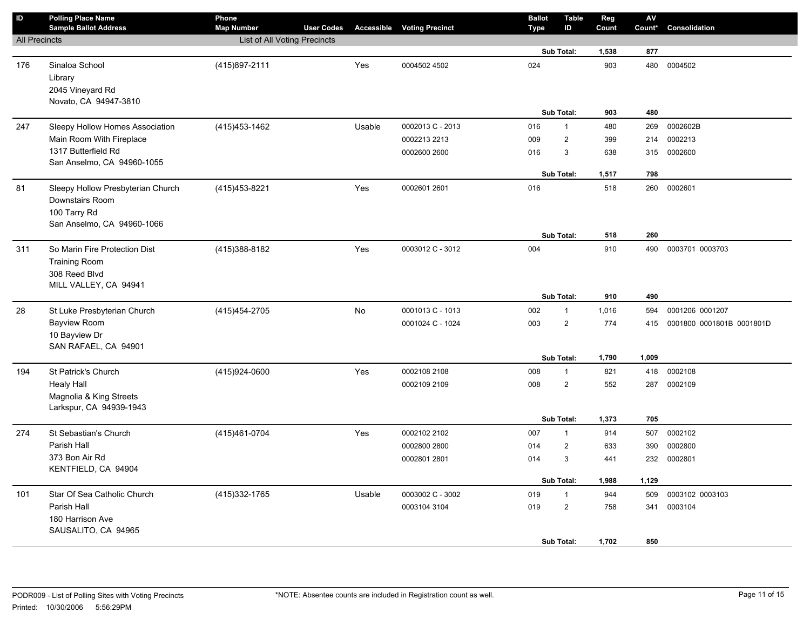| $\sf ID$             | <b>Polling Place Name</b><br><b>Sample Ballot Address</b>                                          | Phone<br><b>Map Number</b>   | <b>User Codes</b> |        | <b>Accessible Voting Precinct</b> | <b>Ballot</b><br>Type | <b>Table</b><br>ID         | Reg<br>Count | ${\sf AV}$<br>Count* | Consolidation             |
|----------------------|----------------------------------------------------------------------------------------------------|------------------------------|-------------------|--------|-----------------------------------|-----------------------|----------------------------|--------------|----------------------|---------------------------|
| <b>All Precincts</b> |                                                                                                    | List of All Voting Precincts |                   |        |                                   |                       |                            |              |                      |                           |
|                      |                                                                                                    |                              |                   |        |                                   |                       | Sub Total:                 | 1,538        | 877                  |                           |
| 176                  | Sinaloa School<br>Library<br>2045 Vineyard Rd<br>Novato, CA 94947-3810                             | (415) 897-2111               |                   | Yes    | 0004502 4502                      | 024                   |                            | 903          | 480                  | 0004502                   |
|                      |                                                                                                    |                              |                   |        |                                   |                       | Sub Total:                 | 903          | 480                  |                           |
| 247                  | Sleepy Hollow Homes Association                                                                    | (415) 453-1462               |                   | Usable | 0002013 C - 2013                  | 016                   | $\mathbf{1}$               | 480          | 269                  | 0002602B                  |
|                      | Main Room With Fireplace                                                                           |                              |                   |        | 0002213 2213                      | 009                   | $\overline{2}$             | 399          | 214                  | 0002213                   |
|                      | 1317 Butterfield Rd<br>San Anselmo, CA 94960-1055                                                  |                              |                   |        | 0002600 2600                      | 016                   | 3                          | 638          | 315                  | 0002600                   |
|                      |                                                                                                    |                              |                   |        |                                   |                       | Sub Total:                 | 1,517        | 798                  |                           |
| 81                   | Sleepy Hollow Presbyterian Church<br>Downstairs Room<br>100 Tarry Rd<br>San Anselmo, CA 94960-1066 | (415) 453-8221               |                   | Yes    | 0002601 2601                      | 016                   |                            | 518          | 260                  | 0002601                   |
|                      |                                                                                                    |                              |                   |        |                                   |                       | Sub Total:                 | 518          | 260                  |                           |
| 311                  | So Marin Fire Protection Dist<br><b>Training Room</b><br>308 Reed Blvd<br>MILL VALLEY, CA 94941    | (415) 388-8182               |                   | Yes    | 0003012 C - 3012                  | 004                   |                            | 910          | 490                  | 0003701 0003703           |
|                      |                                                                                                    |                              |                   |        |                                   |                       | Sub Total:<br>$\mathbf{1}$ | 910          | 490                  |                           |
| 28                   | St Luke Presbyterian Church                                                                        | (415) 454-2705               |                   | No     | 0001013 C - 1013                  | 002                   |                            | 1,016        | 594                  | 0001206 0001207           |
|                      | <b>Bayview Room</b><br>10 Bayview Dr<br>SAN RAFAEL, CA 94901                                       |                              |                   |        | 0001024 C - 1024                  | 003                   | $\overline{2}$             | 774          | 415                  | 0001800 0001801B 0001801D |
|                      |                                                                                                    |                              |                   |        |                                   |                       | Sub Total:                 | 1,790        | 1,009                |                           |
| 194                  | St Patrick's Church                                                                                | (415)924-0600                |                   | Yes    | 0002108 2108                      | 008                   | $\mathbf{1}$               | 821          | 418                  | 0002108                   |
|                      | <b>Healy Hall</b><br>Magnolia & King Streets<br>Larkspur, CA 94939-1943                            |                              |                   |        | 0002109 2109                      | 008                   | $\overline{2}$             | 552          | 287                  | 0002109                   |
|                      |                                                                                                    |                              |                   |        |                                   |                       | Sub Total:                 | 1,373        | 705                  |                           |
| 274                  | St Sebastian's Church                                                                              | (415) 461-0704               |                   | Yes    | 0002102 2102                      | 007                   | $\mathbf{1}$               | 914          | 507                  | 0002102                   |
|                      | Parish Hall                                                                                        |                              |                   |        | 0002800 2800                      | 014                   | $\overline{2}$             | 633          | 390                  | 0002800                   |
|                      | 373 Bon Air Rd<br>KENTFIELD, CA 94904                                                              |                              |                   |        | 0002801 2801                      | 014                   | 3                          | 441          | 232                  | 0002801                   |
|                      |                                                                                                    |                              |                   |        |                                   |                       | Sub Total:                 | 1,988        | 1,129                |                           |
| 101                  | Star Of Sea Catholic Church                                                                        | (415) 332-1765               |                   | Usable | 0003002 C - 3002                  | 019                   | $\mathbf{1}$               | 944          | 509                  | 0003102 0003103           |
|                      | Parish Hall<br>180 Harrison Ave<br>SAUSALITO, CA 94965                                             |                              |                   |        | 0003104 3104                      | 019                   | $\overline{2}$             | 758          | 341                  | 0003104                   |
|                      |                                                                                                    |                              |                   |        |                                   |                       | Sub Total:                 | 1,702        | 850                  |                           |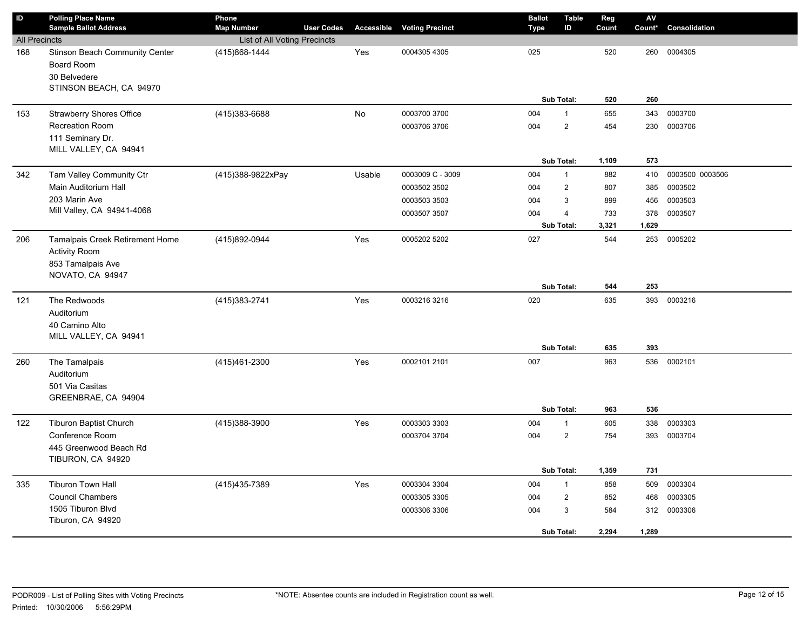| $\sf ID$             | <b>Polling Place Name</b><br><b>Sample Ballot Address</b>                               | Phone<br><b>Map Number</b>   | <b>User Codes</b> |        | <b>Accessible Voting Precinct</b> | <b>Ballot</b><br>Type | <b>Table</b><br>ID | Reg<br>Count | AV<br>Count* | Consolidation   |
|----------------------|-----------------------------------------------------------------------------------------|------------------------------|-------------------|--------|-----------------------------------|-----------------------|--------------------|--------------|--------------|-----------------|
| <b>All Precincts</b> |                                                                                         | List of All Voting Precincts |                   |        |                                   |                       |                    |              |              |                 |
| 168                  | Stinson Beach Community Center<br>Board Room<br>30 Belvedere<br>STINSON BEACH, CA 94970 | (415)868-1444                |                   | Yes    | 0004305 4305                      | 025                   |                    | 520          | 260          | 0004305         |
|                      |                                                                                         |                              |                   |        |                                   |                       | Sub Total:         | 520          | 260          |                 |
| 153                  | <b>Strawberry Shores Office</b>                                                         | (415)383-6688                |                   | No     | 0003700 3700                      | 004                   | $\mathbf{1}$       | 655          | 343          | 0003700         |
|                      | <b>Recreation Room</b><br>111 Seminary Dr.<br>MILL VALLEY, CA 94941                     |                              |                   |        | 0003706 3706                      | 004                   | $\overline{2}$     | 454          | 230          | 0003706         |
|                      |                                                                                         |                              |                   |        |                                   |                       | Sub Total:         | 1,109        | 573          |                 |
| 342                  | Tam Valley Community Ctr                                                                | (415)388-9822xPay            |                   | Usable | 0003009 C - 3009                  | 004                   | $\mathbf{1}$       | 882          | 410          | 0003500 0003506 |
|                      | Main Auditorium Hall                                                                    |                              |                   |        | 0003502 3502                      | 004                   | $\overline{2}$     | 807          | 385          | 0003502         |
|                      | 203 Marin Ave                                                                           |                              |                   |        | 0003503 3503                      | 004                   | 3                  | 899          | 456          | 0003503         |
|                      | Mill Valley, CA 94941-4068                                                              |                              |                   |        | 0003507 3507                      | 004                   | $\overline{4}$     | 733          | 378          | 0003507         |
|                      |                                                                                         |                              |                   |        |                                   |                       | Sub Total:         | 3,321        | 1,629        |                 |
| 206                  | Tamalpais Creek Retirement Home<br><b>Activity Room</b><br>853 Tamalpais Ave            | (415)892-0944                |                   | Yes    | 0005202 5202                      | 027                   |                    | 544          | 253          | 0005202         |
|                      | NOVATO, CA 94947                                                                        |                              |                   |        |                                   |                       | Sub Total:         | 544          | 253          |                 |
| 121                  | The Redwoods<br>Auditorium<br>40 Camino Alto<br>MILL VALLEY, CA 94941                   | (415) 383-2741               |                   | Yes    | 0003216 3216                      | 020                   |                    | 635          | 393          | 0003216         |
|                      |                                                                                         |                              |                   |        |                                   |                       | Sub Total:         | 635          | 393          |                 |
| 260                  | The Tamalpais<br>Auditorium<br>501 Via Casitas<br>GREENBRAE, CA 94904                   | (415)461-2300                |                   | Yes    | 0002101 2101                      | 007                   | Sub Total:         | 963<br>963   | 536          | 536 0002101     |
| 122                  | <b>Tiburon Baptist Church</b>                                                           | (415)388-3900                |                   | Yes    | 0003303 3303                      | 004                   | $\mathbf{1}$       | 605          | 338          | 0003303         |
|                      | Conference Room<br>445 Greenwood Beach Rd<br>TIBURON, CA 94920                          |                              |                   |        | 0003704 3704                      | 004                   | $\overline{2}$     | 754          | 393          | 0003704         |
|                      |                                                                                         |                              |                   |        |                                   |                       | Sub Total:         | 1,359        | 731          |                 |
| 335                  | <b>Tiburon Town Hall</b>                                                                | (415) 435-7389               |                   | Yes    | 0003304 3304                      | 004                   | $\mathbf{1}$       | 858          | 509          | 0003304         |
|                      | <b>Council Chambers</b>                                                                 |                              |                   |        | 0003305 3305                      | 004                   | $\overline{2}$     | 852          | 468          | 0003305         |
|                      | 1505 Tiburon Blvd<br>Tiburon, CA 94920                                                  |                              |                   |        | 0003306 3306                      | 004                   | 3<br>Sub Total:    | 584<br>2,294 | 312<br>1,289 | 0003306         |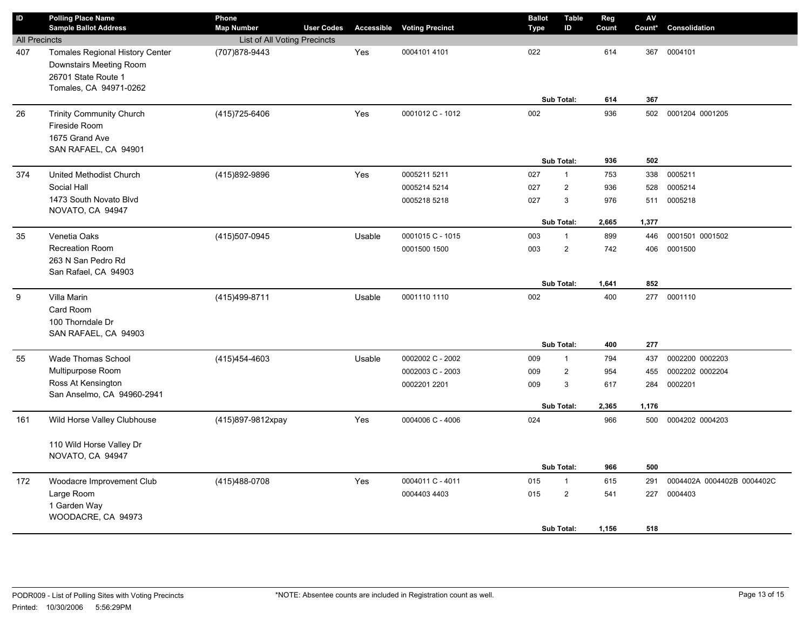| $\overline{D}$       | <b>Polling Place Name</b><br><b>Sample Ballot Address</b>                                                          | Phone<br><b>Map Number</b>   | <b>User Codes</b> | <b>Accessible</b> | <b>Voting Precinct</b> |  | <b>Ballot</b><br>Type | <b>Table</b><br>ID | Reg<br>Count | AV<br>Count* | Consolidation              |
|----------------------|--------------------------------------------------------------------------------------------------------------------|------------------------------|-------------------|-------------------|------------------------|--|-----------------------|--------------------|--------------|--------------|----------------------------|
| <b>All Precincts</b> |                                                                                                                    | List of All Voting Precincts |                   |                   |                        |  |                       |                    |              |              |                            |
| 407                  | <b>Tomales Regional History Center</b><br>Downstairs Meeting Room<br>26701 State Route 1<br>Tomales, CA 94971-0262 | (707) 878-9443               |                   | Yes               | 0004101 4101           |  | 022                   |                    | 614          | 367          | 0004101                    |
|                      |                                                                                                                    |                              |                   |                   |                        |  |                       | Sub Total:         | 614          | 367          |                            |
| 26                   | <b>Trinity Community Church</b><br>Fireside Room<br>1675 Grand Ave<br>SAN RAFAEL, CA 94901                         | (415) 725-6406               |                   | Yes               | 0001012 C - 1012       |  | 002                   |                    | 936          | 502          | 0001204 0001205            |
|                      |                                                                                                                    |                              |                   |                   |                        |  |                       | Sub Total:         |              | 502          |                            |
| 374                  | United Methodist Church                                                                                            | (415)892-9896                |                   | Yes               | 0005211 5211           |  | 027                   | $\mathbf{1}$       | 753          | 338          | 0005211                    |
|                      | Social Hall                                                                                                        |                              |                   |                   | 0005214 5214           |  | 027                   | $\overline{2}$     | 936          | 528          | 0005214                    |
|                      | 1473 South Novato Blvd<br>NOVATO, CA 94947                                                                         |                              |                   |                   | 0005218 5218           |  | 027                   | 3                  | 976          | 511          | 0005218                    |
|                      |                                                                                                                    |                              |                   |                   |                        |  |                       | Sub Total:         | 2,665        | 1,377        |                            |
| 35                   | Venetia Oaks                                                                                                       | (415) 507-0945               |                   | Usable            | 0001015 C - 1015       |  | 003                   | $\overline{1}$     | 899          | 446          | 0001501 0001502            |
|                      | <b>Recreation Room</b><br>263 N San Pedro Rd<br>San Rafael, CA 94903                                               |                              |                   |                   | 0001500 1500           |  | 003                   | $\overline{2}$     | 742          | 406          | 0001500                    |
|                      |                                                                                                                    |                              |                   |                   |                        |  | <b>Sub Total:</b>     |                    | 1,641        | 852          |                            |
| 9                    | Villa Marin<br>Card Room<br>100 Thorndale Dr<br>SAN RAFAEL, CA 94903                                               | (415)499-8711                |                   | Usable            | 0001110 1110           |  | 002<br>Sub Total:     |                    | 400<br>400   | 277<br>277   | 0001110                    |
| 55                   | <b>Wade Thomas School</b>                                                                                          | (415) 454-4603               |                   | Usable            | 0002002 C - 2002       |  | 009<br>$\mathbf{1}$   |                    | 794          | 437          | 0002200 0002203            |
|                      | Multipurpose Room                                                                                                  |                              |                   |                   | 0002003 C - 2003       |  | 009                   | $\mathbf 2$        | 954          | 455          | 0002202 0002204            |
|                      | Ross At Kensington<br>San Anselmo, CA 94960-2941                                                                   |                              |                   |                   | 0002201 2201           |  | 009                   | 3                  | 617          | 284          | 0002201                    |
|                      |                                                                                                                    |                              |                   |                   |                        |  | <b>Sub Total:</b>     |                    | 2,365        | 1,176        |                            |
| 161                  | Wild Horse Valley Clubhouse                                                                                        | (415)897-9812xpay            |                   | Yes               | 0004006 C - 4006       |  | 024                   |                    | 966          | 500          | 0004202 0004203            |
|                      | 110 Wild Horse Valley Dr<br>NOVATO, CA 94947                                                                       |                              |                   |                   |                        |  |                       | Sub Total:         | 966          | 500          |                            |
| 172                  | Woodacre Improvement Club                                                                                          | (415) 488-0708               |                   | Yes               | 0004011 C - 4011       |  | 015                   | $\mathbf{1}$       | 615          | 291          | 0004402A 0004402B 0004402C |
|                      | Large Room                                                                                                         |                              |                   |                   | 0004403 4403           |  | 015                   | $\overline{c}$     | 541          | 227          | 0004403                    |
|                      | 1 Garden Way<br>WOODACRE, CA 94973                                                                                 |                              |                   |                   |                        |  |                       | <b>Sub Total:</b>  | 1,156        | 518          |                            |
|                      |                                                                                                                    |                              |                   |                   |                        |  |                       |                    |              |              |                            |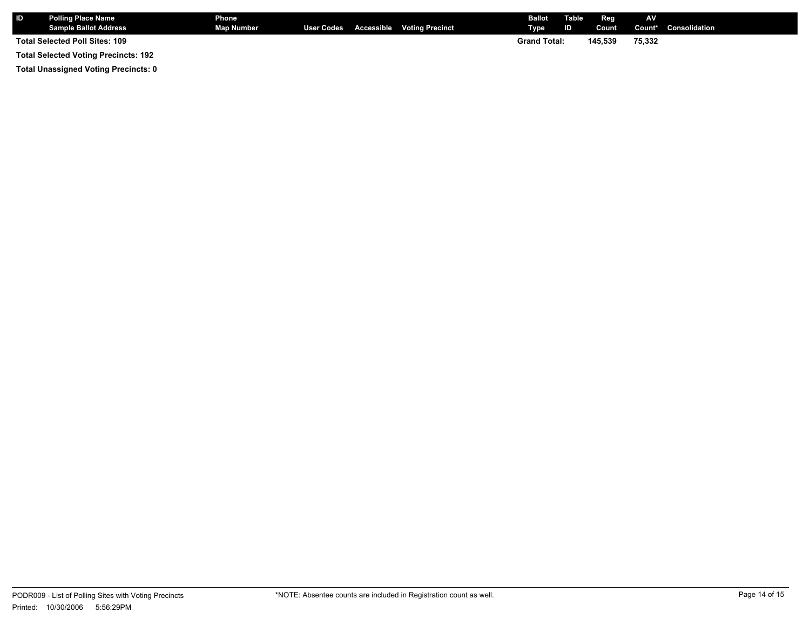| <b>IID</b>                                  | <b>Polling Place Name</b><br><b>Sample Ballot Address</b> | Phone<br><b>Map Number</b> |  |  | User Codes Accessible Voting Precinct | <b>Ballot</b><br>Type | Table<br>ID. | Reg<br>Count | AV     | <b>Count*</b> Consolidation |
|---------------------------------------------|-----------------------------------------------------------|----------------------------|--|--|---------------------------------------|-----------------------|--------------|--------------|--------|-----------------------------|
|                                             | Total Selected Poll Sites: 109                            |                            |  |  |                                       | <b>Grand Total:</b>   |              | 145.539      | 75,332 |                             |
| <b>Total Selected Voting Precincts: 192</b> |                                                           |                            |  |  |                                       |                       |              |              |        |                             |

**Total Unassigned Voting Precincts: 0**